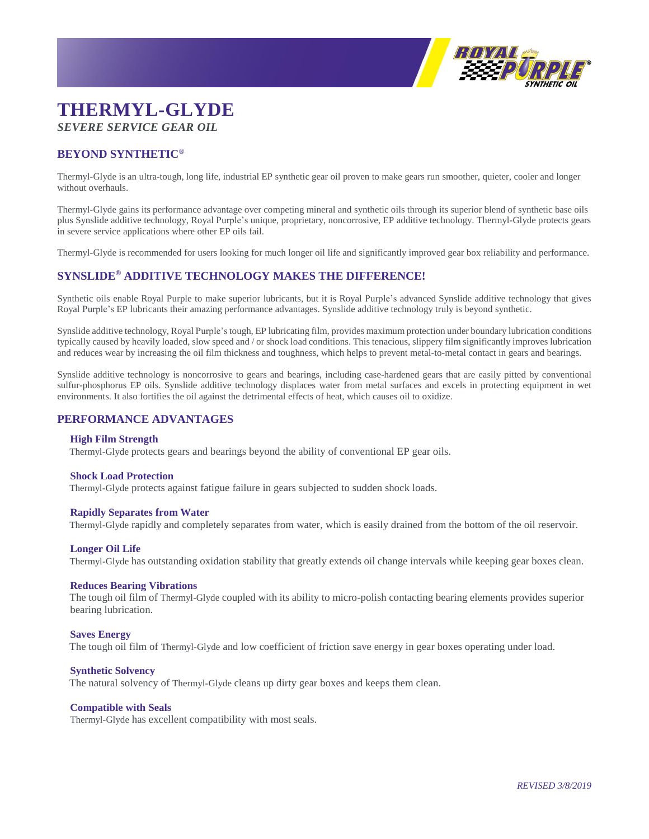

# **THERMYL-GLYDE** *SEVERE SERVICE GEAR OIL*

# **BEYOND SYNTHETIC®**

Thermyl-Glyde is an ultra-tough, long life, industrial EP synthetic gear oil proven to make gears run smoother, quieter, cooler and longer without overhauls.

Thermyl-Glyde gains its performance advantage over competing mineral and synthetic oils through its superior blend of synthetic base oils plus Synslide additive technology, Royal Purple's unique, proprietary, noncorrosive, EP additive technology. Thermyl-Glyde protects gears in severe service applications where other EP oils fail.

Thermyl-Glyde is recommended for users looking for much longer oil life and significantly improved gear box reliability and performance.

# **SYNSLIDE® ADDITIVE TECHNOLOGY MAKES THE DIFFERENCE!**

Synthetic oils enable Royal Purple to make superior lubricants, but it is Royal Purple's advanced Synslide additive technology that gives Royal Purple's EP lubricants their amazing performance advantages. Synslide additive technology truly is beyond synthetic.

Synslide additive technology, Royal Purple's tough, EP lubricating film, provides maximum protection under boundary lubrication conditions typically caused by heavily loaded, slow speed and / or shock load conditions. This tenacious, slippery film significantly improves lubrication and reduces wear by increasing the oil film thickness and toughness, which helps to prevent metal-to-metal contact in gears and bearings.

Synslide additive technology is noncorrosive to gears and bearings, including case-hardened gears that are easily pitted by conventional sulfur-phosphorus EP oils. Synslide additive technology displaces water from metal surfaces and excels in protecting equipment in wet environments. It also fortifies the oil against the detrimental effects of heat, which causes oil to oxidize.

## **PERFORMANCE ADVANTAGES**

#### **High Film Strength**

Thermyl-Glyde protects gears and bearings beyond the ability of conventional EP gear oils.

#### **Shock Load Protection**

Thermyl-Glyde protects against fatigue failure in gears subjected to sudden shock loads.

## **Rapidly Separates from Water**

Thermyl-Glyde rapidly and completely separates from water, which is easily drained from the bottom of the oil reservoir.

#### **Longer Oil Life**

Thermyl-Glyde has outstanding oxidation stability that greatly extends oil change intervals while keeping gear boxes clean.

#### **Reduces Bearing Vibrations**

The tough oil film of Thermyl-Glyde coupled with its ability to micro-polish contacting bearing elements provides superior bearing lubrication.

#### **Saves Energy**

The tough oil film of Thermyl-Glyde and low coefficient of friction save energy in gear boxes operating under load.

#### **Synthetic Solvency**

The natural solvency of Thermyl-Glyde cleans up dirty gear boxes and keeps them clean.

#### **Compatible with Seals**

Thermyl-Glyde has excellent compatibility with most seals.